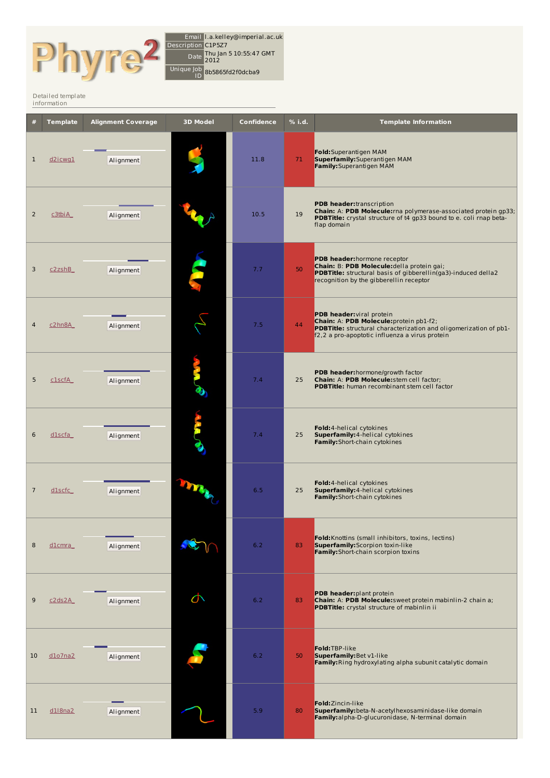

Email l.a.kelley@imperial.ac.uk Description C1P5Z7 Date Thu Jan 5 10:55:47 GMT 2012 Unique Job ID 8b5865fd2f0dcba9

## [Detailed](http://www.sbg.bio.ic.ac.uk/phyre2/index.cgi) template information

|                | <b>Template</b> | <b>Alignment Coverage</b> | <b>3D Model</b> | Confidence | % i.d. | <b>Template Information</b>                                                                                                                                                                   |
|----------------|-----------------|---------------------------|-----------------|------------|--------|-----------------------------------------------------------------------------------------------------------------------------------------------------------------------------------------------|
| $\mathbf{1}$   | d2icwg1         | Alignment                 |                 | 11.8       | 71     | Fold: Superantigen MAM<br>Superfamily: Superantigen MAM<br>Family: Superantigen MAM                                                                                                           |
| $\overline{2}$ | c3tbiA          | Alignment                 |                 | 10.5       | 19     | PDB header:transcription<br>Chain: A: PDB Molecule: rna polymerase-associated protein gp33;<br>PDBTitle: crystal structure of t4 gp33 bound to e. coli rnap beta-<br>flap domain              |
| 3              | c2zshB          | Alignment                 |                 | 7.7        | 50     | PDB header: hormone receptor<br>Chain: B: PDB Molecule: della protein gai;<br><b>PDBTitle:</b> structural basis of gibberellin(ga3)-induced della2<br>recognition by the gibberellin receptor |
| 4              | c2hn8A          | Alignment                 |                 | 7.5        | 44     | PDB header: viral protein<br>Chain: A: PDB Molecule: protein pb1-f2;<br>PDBTitle: structural characterization and oligomerization of pb1-<br>f2,2 a pro-apoptotic influenza a virus protein   |
| 5              | c1scfA          | Alignment                 |                 | 7.4        | 25     | PDB header: hormone/growth factor<br>Chain: A: PDB Molecule: stem cell factor;<br><b>PDBTitle:</b> human recombinant stem cell factor                                                         |
| 6              | dlscfa          | Alignment                 |                 | 7.4        | 25     | Fold:4-helical cytokines<br>Superfamily: 4-helical cytokines<br>Family: Short-chain cytokines                                                                                                 |
| $\overline{7}$ | dlscfc          | Alignment                 |                 | 6.5        | 25     | Fold:4-helical cytokines<br>Superfamily: 4-helical cytokines<br>Family: Short-chain cytokines                                                                                                 |
| 8              | $d$ 1cmra       | Alignment                 |                 | 6.2        | 83     | Fold: Knottins (small inhibitors, toxins, lectins)<br><b>Superfamily:</b> Scorpion toxin-like<br>Family: Short-chain scorpion toxins                                                          |
| 9              | c2ds2A          | Alignment                 | $\sigma$        | 6.2        | 83     | PDB header: plant protein<br>Chain: A: PDB Molecule: sweet protein mabinlin-2 chain a;<br>PDBTitle: crystal structure of mabinlin ii                                                          |
| 10             | $d$ 107na2      | Alignment                 |                 | 6.2        | 50     | Fold:TBP-like<br>Superfamily: Bet v1-like<br>Family: Ring hydroxylating alpha subunit catalytic domain                                                                                        |
| 11             | dl8na2          | Alignment                 |                 | 5.9        | 80     | Fold: Zincin-like<br>Superfamily: beta-N-acetyl hexosaminidase-like domain<br>Family: alpha-D-glucuronidase, N-terminal domain                                                                |